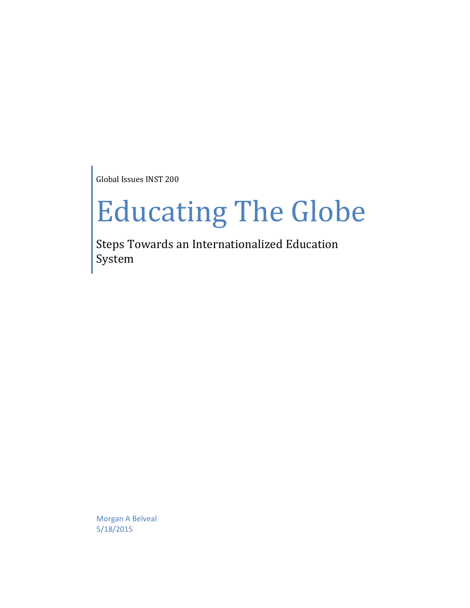Global Issues INST 200

## Educating The Globe

Steps Towards an Internationalized Education System

Morgan A Belveal 5/18/2015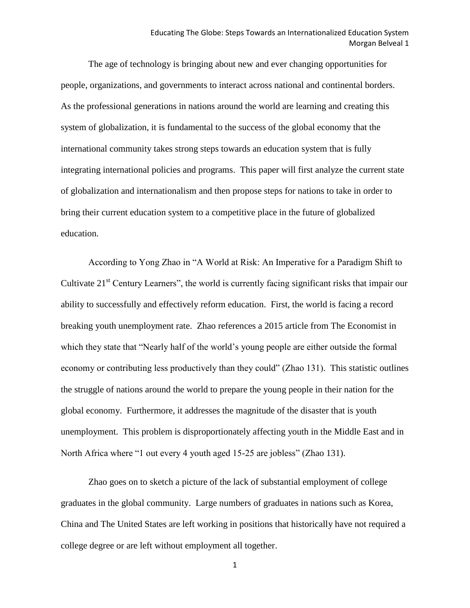The age of technology is bringing about new and ever changing opportunities for people, organizations, and governments to interact across national and continental borders. As the professional generations in nations around the world are learning and creating this system of globalization, it is fundamental to the success of the global economy that the international community takes strong steps towards an education system that is fully integrating international policies and programs. This paper will first analyze the current state of globalization and internationalism and then propose steps for nations to take in order to bring their current education system to a competitive place in the future of globalized education.

According to Yong Zhao in "A World at Risk: An Imperative for a Paradigm Shift to Cultivate 21<sup>st</sup> Century Learners", the world is currently facing significant risks that impair our ability to successfully and effectively reform education. First, the world is facing a record breaking youth unemployment rate. Zhao references a 2015 article from The Economist in which they state that "Nearly half of the world's young people are either outside the formal economy or contributing less productively than they could" (Zhao 131). This statistic outlines the struggle of nations around the world to prepare the young people in their nation for the global economy. Furthermore, it addresses the magnitude of the disaster that is youth unemployment. This problem is disproportionately affecting youth in the Middle East and in North Africa where "1 out every 4 youth aged 15-25 are jobless" (Zhao 131).

Zhao goes on to sketch a picture of the lack of substantial employment of college graduates in the global community. Large numbers of graduates in nations such as Korea, China and The United States are left working in positions that historically have not required a college degree or are left without employment all together.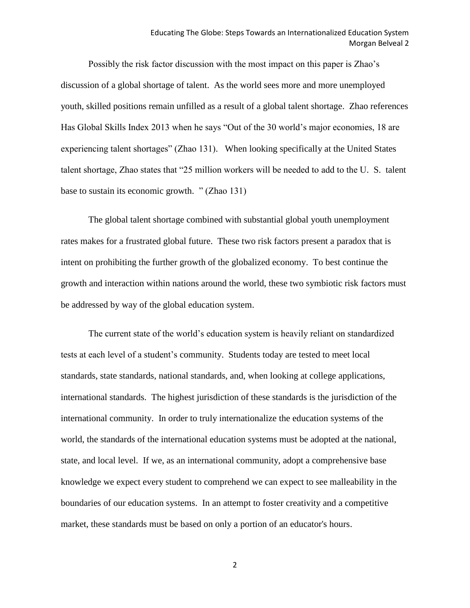Possibly the risk factor discussion with the most impact on this paper is Zhao's discussion of a global shortage of talent. As the world sees more and more unemployed youth, skilled positions remain unfilled as a result of a global talent shortage. Zhao references Has Global Skills Index 2013 when he says "Out of the 30 world's major economies, 18 are experiencing talent shortages" (Zhao 131). When looking specifically at the United States talent shortage, Zhao states that "25 million workers will be needed to add to the U. S. talent base to sustain its economic growth. " (Zhao 131)

The global talent shortage combined with substantial global youth unemployment rates makes for a frustrated global future. These two risk factors present a paradox that is intent on prohibiting the further growth of the globalized economy. To best continue the growth and interaction within nations around the world, these two symbiotic risk factors must be addressed by way of the global education system.

The current state of the world's education system is heavily reliant on standardized tests at each level of a student's community. Students today are tested to meet local standards, state standards, national standards, and, when looking at college applications, international standards. The highest jurisdiction of these standards is the jurisdiction of the international community. In order to truly internationalize the education systems of the world, the standards of the international education systems must be adopted at the national, state, and local level. If we, as an international community, adopt a comprehensive base knowledge we expect every student to comprehend we can expect to see malleability in the boundaries of our education systems. In an attempt to foster creativity and a competitive market, these standards must be based on only a portion of an educator's hours.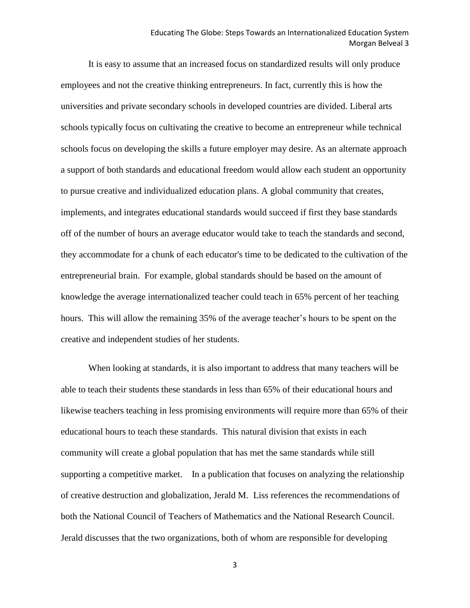It is easy to assume that an increased focus on standardized results will only produce employees and not the creative thinking entrepreneurs. In fact, currently this is how the universities and private secondary schools in developed countries are divided. Liberal arts schools typically focus on cultivating the creative to become an entrepreneur while technical schools focus on developing the skills a future employer may desire. As an alternate approach a support of both standards and educational freedom would allow each student an opportunity to pursue creative and individualized education plans. A global community that creates, implements, and integrates educational standards would succeed if first they base standards off of the number of hours an average educator would take to teach the standards and second, they accommodate for a chunk of each educator's time to be dedicated to the cultivation of the entrepreneurial brain. For example, global standards should be based on the amount of knowledge the average internationalized teacher could teach in 65% percent of her teaching hours. This will allow the remaining 35% of the average teacher's hours to be spent on the creative and independent studies of her students.

When looking at standards, it is also important to address that many teachers will be able to teach their students these standards in less than 65% of their educational hours and likewise teachers teaching in less promising environments will require more than 65% of their educational hours to teach these standards. This natural division that exists in each community will create a global population that has met the same standards while still supporting a competitive market. In a publication that focuses on analyzing the relationship of creative destruction and globalization, Jerald M. Liss references the recommendations of both the National Council of Teachers of Mathematics and the National Research Council. Jerald discusses that the two organizations, both of whom are responsible for developing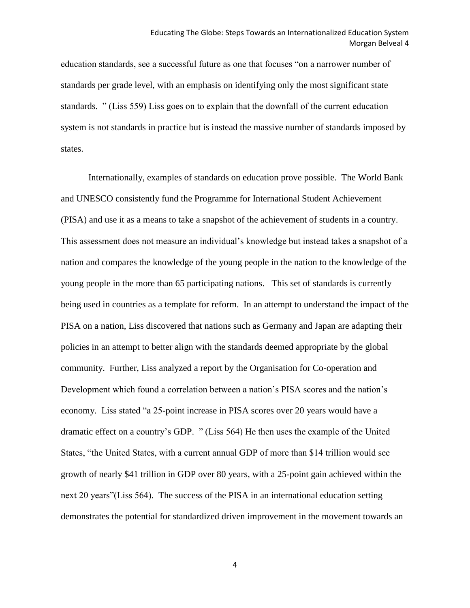education standards, see a successful future as one that focuses "on a narrower number of standards per grade level, with an emphasis on identifying only the most significant state standards. " (Liss 559) Liss goes on to explain that the downfall of the current education system is not standards in practice but is instead the massive number of standards imposed by states.

Internationally, examples of standards on education prove possible. The World Bank and UNESCO consistently fund the Programme for International Student Achievement (PISA) and use it as a means to take a snapshot of the achievement of students in a country. This assessment does not measure an individual's knowledge but instead takes a snapshot of a nation and compares the knowledge of the young people in the nation to the knowledge of the young people in the more than 65 participating nations. This set of standards is currently being used in countries as a template for reform. In an attempt to understand the impact of the PISA on a nation, Liss discovered that nations such as Germany and Japan are adapting their policies in an attempt to better align with the standards deemed appropriate by the global community. Further, Liss analyzed a report by the Organisation for Co-operation and Development which found a correlation between a nation's PISA scores and the nation's economy. Liss stated "a 25-point increase in PISA scores over 20 years would have a dramatic effect on a country's GDP. " (Liss 564) He then uses the example of the United States, "the United States, with a current annual GDP of more than \$14 trillion would see growth of nearly \$41 trillion in GDP over 80 years, with a 25-point gain achieved within the next 20 years"(Liss 564). The success of the PISA in an international education setting demonstrates the potential for standardized driven improvement in the movement towards an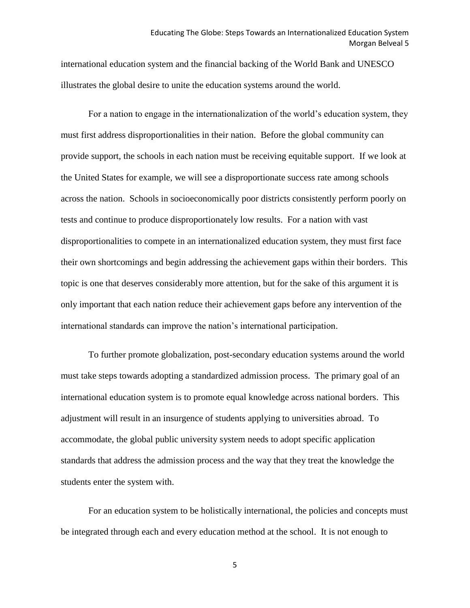international education system and the financial backing of the World Bank and UNESCO illustrates the global desire to unite the education systems around the world.

For a nation to engage in the internationalization of the world's education system, they must first address disproportionalities in their nation. Before the global community can provide support, the schools in each nation must be receiving equitable support. If we look at the United States for example, we will see a disproportionate success rate among schools across the nation. Schools in socioeconomically poor districts consistently perform poorly on tests and continue to produce disproportionately low results. For a nation with vast disproportionalities to compete in an internationalized education system, they must first face their own shortcomings and begin addressing the achievement gaps within their borders. This topic is one that deserves considerably more attention, but for the sake of this argument it is only important that each nation reduce their achievement gaps before any intervention of the international standards can improve the nation's international participation.

To further promote globalization, post-secondary education systems around the world must take steps towards adopting a standardized admission process. The primary goal of an international education system is to promote equal knowledge across national borders. This adjustment will result in an insurgence of students applying to universities abroad. To accommodate, the global public university system needs to adopt specific application standards that address the admission process and the way that they treat the knowledge the students enter the system with.

For an education system to be holistically international, the policies and concepts must be integrated through each and every education method at the school. It is not enough to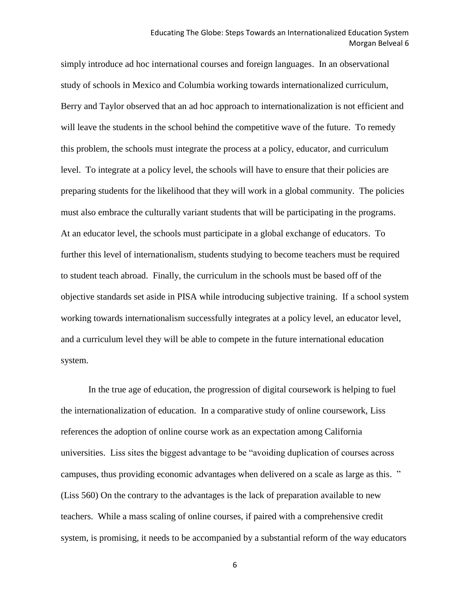simply introduce ad hoc international courses and foreign languages. In an observational study of schools in Mexico and Columbia working towards internationalized curriculum, Berry and Taylor observed that an ad hoc approach to internationalization is not efficient and will leave the students in the school behind the competitive wave of the future. To remedy this problem, the schools must integrate the process at a policy, educator, and curriculum level. To integrate at a policy level, the schools will have to ensure that their policies are preparing students for the likelihood that they will work in a global community. The policies must also embrace the culturally variant students that will be participating in the programs. At an educator level, the schools must participate in a global exchange of educators. To further this level of internationalism, students studying to become teachers must be required to student teach abroad. Finally, the curriculum in the schools must be based off of the objective standards set aside in PISA while introducing subjective training. If a school system working towards internationalism successfully integrates at a policy level, an educator level, and a curriculum level they will be able to compete in the future international education system.

In the true age of education, the progression of digital coursework is helping to fuel the internationalization of education. In a comparative study of online coursework, Liss references the adoption of online course work as an expectation among California universities. Liss sites the biggest advantage to be "avoiding duplication of courses across campuses, thus providing economic advantages when delivered on a scale as large as this. " (Liss 560) On the contrary to the advantages is the lack of preparation available to new teachers. While a mass scaling of online courses, if paired with a comprehensive credit system, is promising, it needs to be accompanied by a substantial reform of the way educators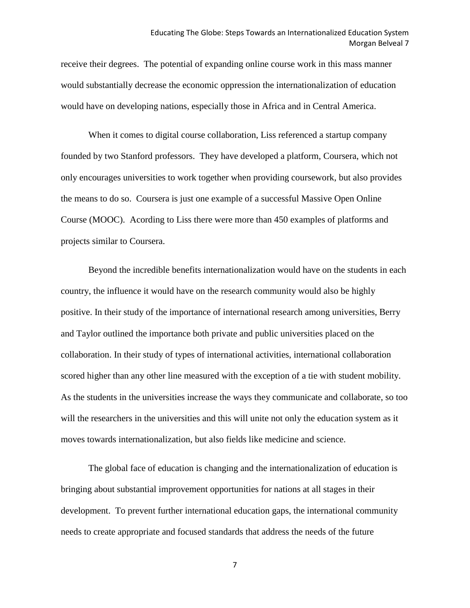receive their degrees. The potential of expanding online course work in this mass manner would substantially decrease the economic oppression the internationalization of education would have on developing nations, especially those in Africa and in Central America.

When it comes to digital course collaboration, Liss referenced a startup company founded by two Stanford professors. They have developed a platform, Coursera, which not only encourages universities to work together when providing coursework, but also provides the means to do so. Coursera is just one example of a successful Massive Open Online Course (MOOC). Acording to Liss there were more than 450 examples of platforms and projects similar to Coursera.

Beyond the incredible benefits internationalization would have on the students in each country, the influence it would have on the research community would also be highly positive. In their study of the importance of international research among universities, Berry and Taylor outlined the importance both private and public universities placed on the collaboration. In their study of types of international activities, international collaboration scored higher than any other line measured with the exception of a tie with student mobility. As the students in the universities increase the ways they communicate and collaborate, so too will the researchers in the universities and this will unite not only the education system as it moves towards internationalization, but also fields like medicine and science.

The global face of education is changing and the internationalization of education is bringing about substantial improvement opportunities for nations at all stages in their development. To prevent further international education gaps, the international community needs to create appropriate and focused standards that address the needs of the future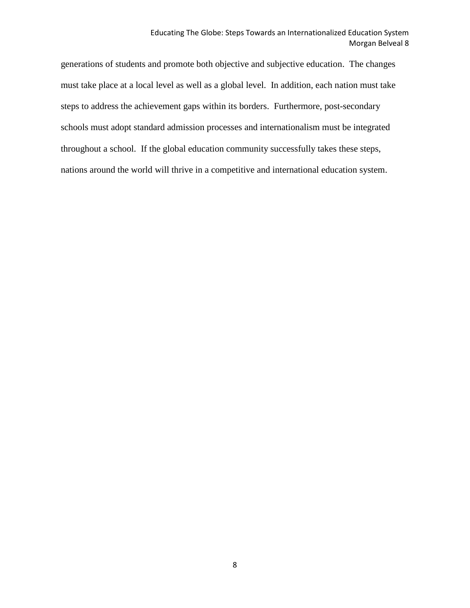## Educating The Globe: Steps Towards an Internationalized Education System Morgan Belveal 8

generations of students and promote both objective and subjective education. The changes must take place at a local level as well as a global level. In addition, each nation must take steps to address the achievement gaps within its borders. Furthermore, post-secondary schools must adopt standard admission processes and internationalism must be integrated throughout a school. If the global education community successfully takes these steps, nations around the world will thrive in a competitive and international education system.